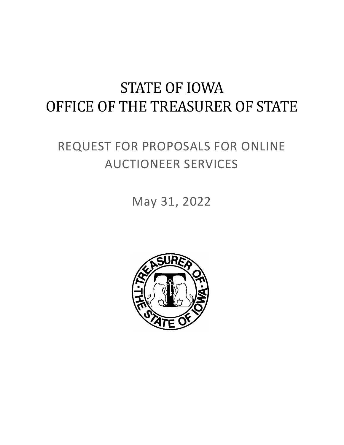# STATE OF IOWA OFFICE OF THE TREASURER OF STATE

# REQUEST FOR PROPOSALS FOR ONLINE AUCTIONEER SERVICES

May 31, 2022

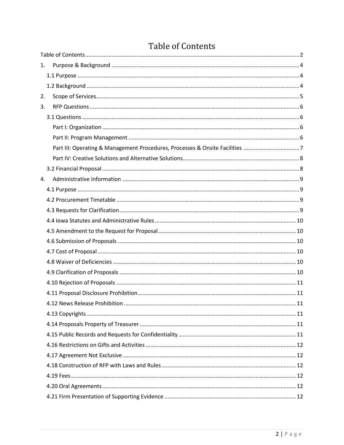| 1. |                                                                              |    |
|----|------------------------------------------------------------------------------|----|
|    |                                                                              |    |
|    |                                                                              |    |
| 2. |                                                                              |    |
| 3. |                                                                              |    |
|    |                                                                              |    |
|    |                                                                              |    |
|    |                                                                              |    |
|    | Part III: Operating & Management Procedures, Processes & Onsite Facilities 7 |    |
|    |                                                                              |    |
|    |                                                                              |    |
| 4. |                                                                              |    |
|    |                                                                              |    |
|    |                                                                              |    |
|    |                                                                              |    |
|    |                                                                              |    |
|    |                                                                              |    |
|    |                                                                              |    |
|    |                                                                              |    |
|    |                                                                              |    |
|    |                                                                              |    |
|    |                                                                              |    |
|    |                                                                              |    |
|    | 4.12 News Release Probibition                                                | 11 |
|    |                                                                              |    |
|    |                                                                              |    |
|    |                                                                              |    |
|    |                                                                              |    |
|    |                                                                              |    |
|    |                                                                              |    |
|    |                                                                              |    |
|    |                                                                              |    |
|    |                                                                              |    |

# <span id="page-1-0"></span>**Table of Contents**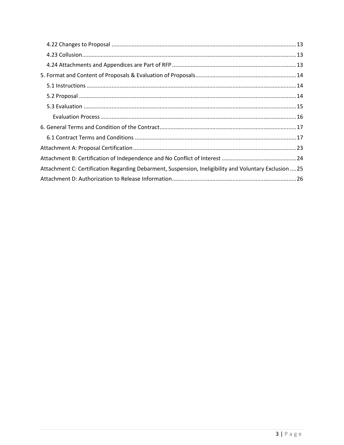| Attachment C: Certification Regarding Debarment, Suspension, Ineligibility and Voluntary Exclusion  25 |  |  |  |
|--------------------------------------------------------------------------------------------------------|--|--|--|
|                                                                                                        |  |  |  |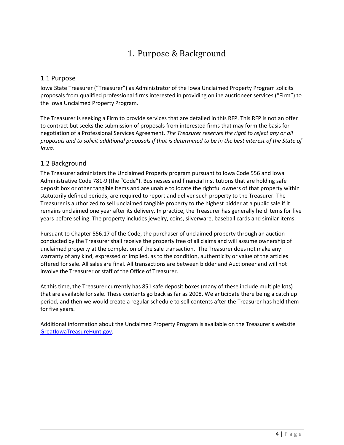# 1. Purpose & Background

#### <span id="page-3-1"></span><span id="page-3-0"></span>1.1 Purpose

Iowa State Treasurer ("Treasurer") as Administrator of the Iowa Unclaimed Property Program solicits proposals from qualified professional firms interested in providing online auctioneer services ("Firm") to the Iowa Unclaimed Property Program.

The Treasurer is seeking a Firm to provide services that are detailed in this RFP. This RFP is not an offer to contract but seeks the submission of proposals from interested firms that may form the basis for negotiation of a Professional Services Agreement. *The Treasurer reserves the right to reject any or all proposals and to solicit additional proposals if that is determined to be in the best interest of the State of Iowa.*

#### <span id="page-3-2"></span>1.2 Background

The Treasurer administers the Unclaimed Property program pursuant to Iowa Code 556 and Iowa Administrative Code 781-9 (the "Code"). Businesses and financial institutions that are holding safe deposit box or other tangible items and are unable to locate the rightful owners of that property within statutorily defined periods, are required to report and deliver such property to the Treasurer. The Treasurer is authorized to sell unclaimed tangible property to the highest bidder at a public sale if it remains unclaimed one year after its delivery. In practice, the Treasurer has generally held items for five years before selling. The property includes jewelry, coins, silverware, baseball cards and similar items.

Pursuant to Chapter 556.17 of the Code, the purchaser of unclaimed property through an auction conducted by the Treasurer shall receive the property free of all claims and will assume ownership of unclaimed property at the completion of the sale transaction. The Treasurer does not make any warranty of any kind, expressed or implied, as to the condition, authenticity or value of the articles offered for sale. All sales are final. All transactions are between bidder and Auctioneer and will not involve the Treasurer or staff of the Office of Treasurer.

At this time, the Treasurer currently has 851 safe deposit boxes (many of these include multiple lots) that are available for sale. These contents go back as far as 2008. We anticipate there being a catch up period, and then we would create a regular schedule to sell contents after the Treasurer has held them for five years.

Additional information about the Unclaimed Property Program is available on the Treasurer's website [GreatIowaTreasureHunt.gov.](http://www.greatiowatreasurehunt.gov/)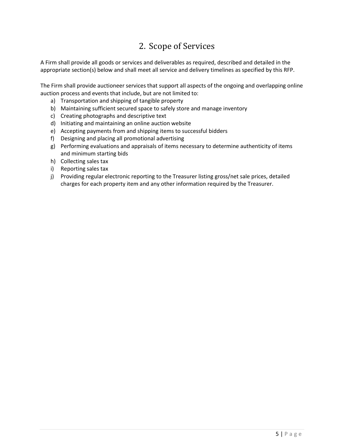# 2. Scope of Services

<span id="page-4-0"></span>A Firm shall provide all goods or services and deliverables as required, described and detailed in the appropriate section(s) below and shall meet all service and delivery timelines as specified by this RFP.

The Firm shall provide auctioneer services that support all aspects of the ongoing and overlapping online auction process and events that include, but are not limited to:

- a) Transportation and shipping of tangible property
- b) Maintaining sufficient secured space to safely store and manage inventory
- c) Creating photographs and descriptive text
- d) Initiating and maintaining an online auction website
- e) Accepting payments from and shipping items to successful bidders
- f) Designing and placing all promotional advertising
- g) Performing evaluations and appraisals of items necessary to determine authenticity of items and minimum starting bids
- h) Collecting sales tax
- i) Reporting sales tax
- j) Providing regular electronic reporting to the Treasurer listing gross/net sale prices, detailed charges for each property item and any other information required by the Treasurer.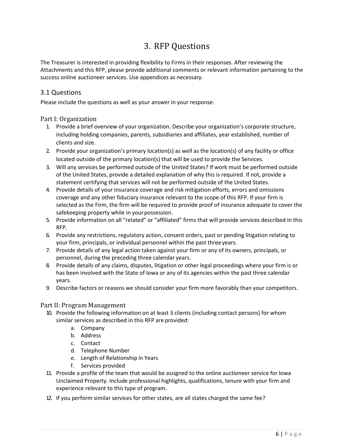# 3. RFP Questions

<span id="page-5-0"></span>The Treasurer is interested in providing flexibility to Firms in their responses. After reviewing the Attachments and this RFP, please provide additional comments or relevant information pertaining to the success online auctioneer services. Use appendices as necessary.

#### <span id="page-5-1"></span>3.1 Questions

Please include the questions as well as your answer in your response.

#### <span id="page-5-2"></span>Part I: Organization

- 1. Provide a brief overview of your organization. Describe your organization's corporate structure, including holding companies, parents, subsidiaries and affiliates, year established, number of clients and size.
- 2. Provide your organization's primary location(s) as well as the location(s) of any facility or office located outside of the primary location(s) that will be used to provide the Services.
- 3. Will any services be performed outside of the United States? If work must be performed outside of the United States, provide a detailed explanation of why this is required. If not, provide a statement certifying that services will not be performed outside of the United States.
- 4. Provide details of your insurance coverage and risk mitigation efforts, errors and omissions coverage and any other fiduciary insurance relevant to the scope of this RFP. If your firm is selected as the Firm, the firm will be required to provide proof of insurance adequate to cover the safekeeping property while in your possession.
- 5. Provide information on all "related" or "affiliated" firms that will provide services described in this RFP.
- 6. Provide any restrictions, regulatory action, consent orders, past or pending litigation relating to your firm, principals, or individual personnel within the past threeyears.
- 7. Provide details of any legal action taken against your firm or any of its owners, principals, or personnel, during the preceding three calendar years.
- 8. Provide details of any claims, disputes, litigation or other legal proceedings where your firm is or has been involved with the State of Iowa or any of its agencies within the past three calendar years.
- 9. Describe factors or reasons we should consider your firm more favorably than your competitors.

#### <span id="page-5-3"></span>Part II: Program Management

- 10. Provide the following information on at least 3 clients (including contact persons) for whom similar services as described in this RFP are provided:
	- a. Company
	- b. Address
	- c. Contact
	- d. Telephone Number
	- e. Length of Relationship in Years
	- f. Services provided
- 11. Provide a profile of the team that would be assigned to the online auctioneer service for Iowa Unclaimed Property. Include professional highlights, qualifications, tenure with your firm and experience relevant to this type of program.
- 12. If you perform similar services for other states, are all states charged the same fee?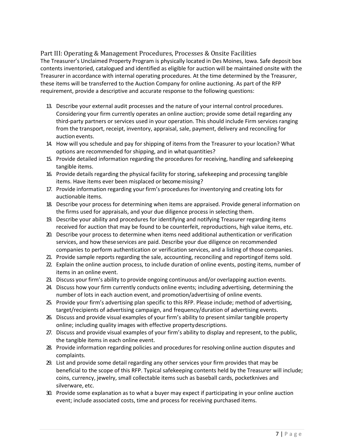<span id="page-6-0"></span>Part III: Operating & Management Procedures, Processes & Onsite Facilities The Treasurer's Unclaimed Property Program is physically located in Des Moines, Iowa. Safe deposit box contents inventoried, catalogued and identified as eligible for auction will be maintained onsite with the Treasurer in accordance with internal operating procedures. At the time determined by the Treasurer, these items will be transferred to the Auction Company for online auctioning. As part of the RFP requirement, provide a descriptive and accurate response to the following questions:

- 13. Describe your external audit processes and the nature of your internal control procedures. Considering your firm currently operates an online auction; provide some detail regarding any third-party partners or services used in your operation. This should include Firm services ranging from the transport, receipt, inventory, appraisal, sale, payment, delivery and reconciling for auction events.
- 14. How will you schedule and pay for shipping of items from the Treasurer to your location? What options are recommended for shipping, and in whatquantities?
- 15. Provide detailed information regarding the procedures for receiving, handling and safekeeping tangible items.
- 16. Provide details regarding the physical facility for storing, safekeeping and processing tangible items. Have items ever been misplaced or become missing?
- 17. Provide information regarding your firm's procedures for inventorying and creating lots for auctionable items.
- 18. Describe your process for determining when items are appraised. Provide general information on the firms used for appraisals, and your due diligence process in selecting them.
- 19. Describe your ability and procedures for identifying and notifying Treasurer regarding items received for auction that may be found to be counterfeit, reproductions, high value items, etc.
- 20. Describe your process to determine when items need additional authentication or verification services, and how theseservices are paid. Describe your due diligence on recommended companies to perform authentication or verification services, and a listing of those companies.
- 21. Provide sample reports regarding the sale, accounting, reconciling and reportingof items sold.
- 22. Explain the online auction process, to include duration of online events, posting items, number of items in an online event.
- 23. Discuss your firm's ability to provide ongoing continuous and/or overlapping auction events.
- 24. Discuss how your firm currently conducts online events; including advertising, determining the number of lots in each auction event, and promotion/advertising of online events.
- 25. Provide your firm's advertising plan specific to this RFP. Please include; method of advertising, target/recipients of advertising campaign, and frequency/duration of advertising events.
- 26. Discuss and provide visual examples of your firm's ability to present similar tangible property online; including quality images with effective propertydescriptions.
- 27. Discuss and provide visual examples of your firm's ability to display and represent, to the public, the tangible items in each online event.
- 28. Provide information regarding policies and procedures for resolving online auction disputes and complaints.
- 29. List and provide some detail regarding any other services your firm provides that may be beneficial to the scope of this RFP. Typical safekeeping contents held by the Treasurer will include; coins, currency, jewelry, small collectable items such as baseball cards, pocketknives and silverware, etc.
- 30. Provide some explanation as to what a buyer may expect if participating in your online auction event; include associated costs, time and process for receiving purchased items.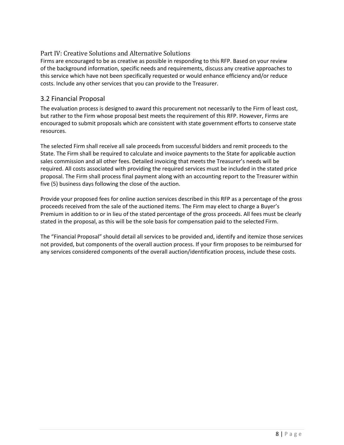#### <span id="page-7-0"></span>Part IV: Creative Solutions and Alternative Solutions

Firms are encouraged to be as creative as possible in responding to this RFP. Based on your review of the background information, specific needs and requirements, discuss any creative approaches to this service which have not been specifically requested or would enhance efficiency and/or reduce costs. Include any other services that you can provide to the Treasurer.

#### <span id="page-7-1"></span>3.2 Financial Proposal

The evaluation process is designed to award this procurement not necessarily to the Firm of least cost, but rather to the Firm whose proposal best meets the requirement of this RFP. However, Firms are encouraged to submit proposals which are consistent with state government efforts to conserve state resources.

The selected Firm shall receive all sale proceeds from successful bidders and remit proceeds to the State. The Firm shall be required to calculate and invoice payments to the State for applicable auction sales commission and all other fees. Detailed invoicing that meets the Treasurer's needs will be required. All costs associated with providing the required services must be included in the stated price proposal. The Firm shall process final payment along with an accounting report to the Treasurer within five (5) business days following the close of the auction.

Provide your proposed fees for online auction services described in this RFP as a percentage of the gross proceeds received from the sale of the auctioned items. The Firm may elect to charge a Buyer's Premium in addition to or in lieu of the stated percentage of the gross proceeds. All fees must be clearly stated in the proposal, as this will be the sole basis for compensation paid to the selected Firm.

The "Financial Proposal" should detail all services to be provided and, identify and itemize those services not provided, but components of the overall auction process. If your firm proposes to be reimbursed for any services considered components of the overall auction/identification process, include these costs.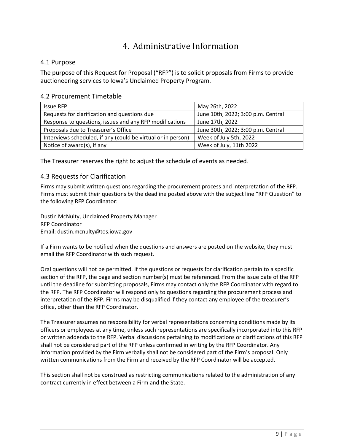# 4. Administrative Information

#### <span id="page-8-1"></span><span id="page-8-0"></span>4.1 Purpose

The purpose of this Request for Proposal ("RFP") is to solicit proposals from Firms to provide auctioneering services to Iowa's Unclaimed Property Program.

#### <span id="page-8-2"></span>4.2 Procurement Timetable

| <b>Issue RFP</b>                                             | May 26th, 2022                     |
|--------------------------------------------------------------|------------------------------------|
| Requests for clarification and questions due                 | June 10th, 2022; 3:00 p.m. Central |
| Response to questions, issues and any RFP modifications      | June 17th, 2022                    |
| Proposals due to Treasurer's Office                          | June 30th, 2022; 3:00 p.m. Central |
| Interviews scheduled, if any (could be virtual or in person) | Week of July 5th, 2022             |
| Notice of award(s), if any                                   | Week of July, 11th 2022            |

<span id="page-8-3"></span>The Treasurer reserves the right to adjust the schedule of events as needed.

#### 4.3 Requests for Clarification

Firms may submit written questions regarding the procurement process and interpretation of the RFP. Firms must submit their questions by the deadline posted above with the subject line "RFP Question" to the following RFP Coordinator:

Dustin McNulty, Unclaimed Property Manager RFP Coordinator Email: dustin.mcnulty@tos.iowa.gov

If a Firm wants to be notified when the questions and answers are posted on the website, they must email the RFP Coordinator with such request.

Oral questions will not be permitted. If the questions or requests for clarification pertain to a specific section of the RFP, the page and section number(s) must be referenced. From the issue date of the RFP until the deadline for submitting proposals, Firms may contact only the RFP Coordinator with regard to the RFP. The RFP Coordinator will respond only to questions regarding the procurement process and interpretation of the RFP. Firms may be disqualified if they contact any employee of the treasurer's office, other than the RFP Coordinator.

The Treasurer assumes no responsibility for verbal representations concerning conditions made by its officers or employees at any time, unless such representations are specifically incorporated into this RFP or written addenda to the RFP. Verbal discussions pertaining to modifications or clarifications of this RFP shall not be considered part of the RFP unless confirmed in writing by the RFP Coordinator. Any information provided by the Firm verbally shall not be considered part of the Firm's proposal. Only written communications from the Firm and received by the RFP Coordinator will be accepted.

This section shall not be construed as restricting communications related to the administration of any contract currently in effect between a Firm and the State.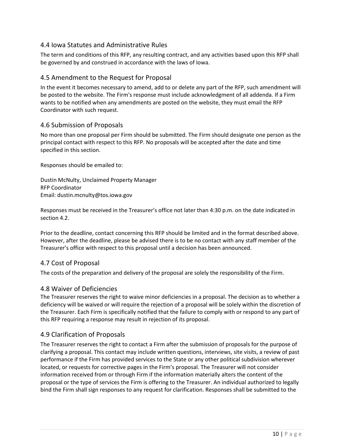#### <span id="page-9-0"></span>4.4 Iowa Statutes and Administrative Rules

The term and conditions of this RFP, any resulting contract, and any activities based upon this RFP shall be governed by and construed in accordance with the laws of Iowa.

#### <span id="page-9-1"></span>4.5 Amendment to the Request for Proposal

In the event it becomes necessary to amend, add to or delete any part of the RFP, such amendment will be posted to the website. The Firm's response must include acknowledgment of all addenda. If a Firm wants to be notified when any amendments are posted on the website, they must email the RFP Coordinator with such request.

#### <span id="page-9-2"></span>4.6 Submission of Proposals

No more than one proposal per Firm should be submitted. The Firm should designate one person as the principal contact with respect to this RFP. No proposals will be accepted after the date and time specified in this section.

Responses should be emailed to:

Dustin McNulty, Unclaimed Property Manager RFP Coordinator Email: dustin.mcnulty@tos.iowa.gov

Responses must be received in the Treasurer's office not later than 4:30 p.m. on the date indicated in section 4.2.

Prior to the deadline, contact concerning this RFP should be limited and in the format described above. However, after the deadline, please be advised there is to be no contact with any staff member of the Treasurer's office with respect to this proposal until a decision has been announced.

#### <span id="page-9-3"></span>4.7 Cost of Proposal

The costs of the preparation and delivery of the proposal are solely the responsibility of the Firm.

#### <span id="page-9-4"></span>4.8 Waiver of Deficiencies

The Treasurer reserves the right to waive minor deficiencies in a proposal. The decision as to whether a deficiency will be waived or will require the rejection of a proposal will be solely within the discretion of the Treasurer. Each Firm is specifically notified that the failure to comply with or respond to any part of this RFP requiring a response may result in rejection of its proposal.

#### <span id="page-9-5"></span>4.9 Clarification of Proposals

The Treasurer reserves the right to contact a Firm after the submission of proposals for the purpose of clarifying a proposal. This contact may include written questions, interviews, site visits, a review of past performance if the Firm has provided services to the State or any other political subdivision wherever located, or requests for corrective pages in the Firm's proposal. The Treasurer will not consider information received from or through Firm if the information materially alters the content of the proposal or the type of services the Firm is offering to the Treasurer. An individual authorized to legally bind the Firm shall sign responses to any request for clarification. Responses shall be submitted to the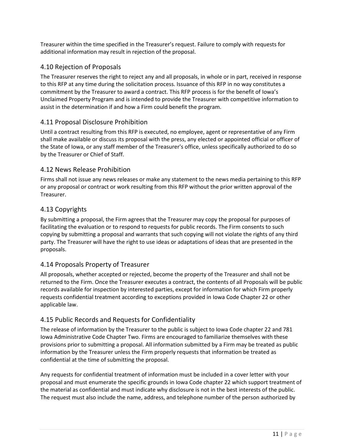Treasurer within the time specified in the Treasurer's request. Failure to comply with requests for additional information may result in rejection of the proposal.

#### <span id="page-10-0"></span>4.10 Rejection of Proposals

The Treasurer reserves the right to reject any and all proposals, in whole or in part, received in response to this RFP at any time during the solicitation process. Issuance of this RFP in no way constitutes a commitment by the Treasurer to award a contract. This RFP process is for the benefit of Iowa's Unclaimed Property Program and is intended to provide the Treasurer with competitive information to assist in the determination if and how a Firm could benefit the program.

#### <span id="page-10-1"></span>4.11 Proposal Disclosure Prohibition

Until a contract resulting from this RFP is executed, no employee, agent or representative of any Firm shall make available or discuss its proposal with the press, any elected or appointed official or officer of the State of Iowa, or any staff member of the Treasurer's office, unless specifically authorized to do so by the Treasurer or Chief of Staff.

#### <span id="page-10-2"></span>4.12 News Release Prohibition

Firms shall not issue any news releases or make any statement to the news media pertaining to this RFP or any proposal or contract or work resulting from this RFP without the prior written approval of the Treasurer.

#### <span id="page-10-3"></span>4.13 Copyrights

By submitting a proposal, the Firm agrees that the Treasurer may copy the proposal for purposes of facilitating the evaluation or to respond to requests for public records. The Firm consents to such copying by submitting a proposal and warrants that such copying will not violate the rights of any third party. The Treasurer will have the right to use ideas or adaptations of ideas that are presented in the proposals.

#### <span id="page-10-4"></span>4.14 Proposals Property of Treasurer

All proposals, whether accepted or rejected, become the property of the Treasurer and shall not be returned to the Firm. Once the Treasurer executes a contract, the contents of all Proposals will be public records available for inspection by interested parties, except for information for which Firm properly requests confidential treatment according to exceptions provided in Iowa Code Chapter 22 or other applicable law.

#### <span id="page-10-5"></span>4.15 Public Records and Requests for Confidentiality

The release of information by the Treasurer to the public is subject to Iowa Code chapter 22 and 781 Iowa Administrative Code Chapter Two. Firms are encouraged to familiarize themselves with these provisions prior to submitting a proposal. All information submitted by a Firm may be treated as public information by the Treasurer unless the Firm properly requests that information be treated as confidential at the time of submitting the proposal.

Any requests for confidential treatment of information must be included in a cover letter with your proposal and must enumerate the specific grounds in Iowa Code chapter 22 which support treatment of the material as confidential and must indicate why disclosure is not in the best interests of the public. The request must also include the name, address, and telephone number of the person authorized by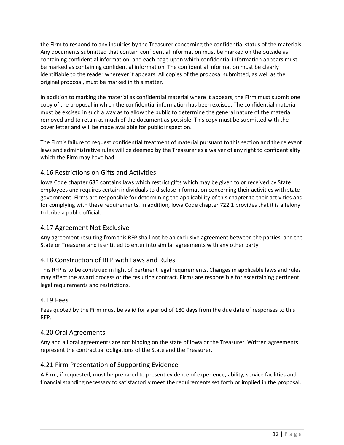the Firm to respond to any inquiries by the Treasurer concerning the confidential status of the materials. Any documents submitted that contain confidential information must be marked on the outside as containing confidential information, and each page upon which confidential information appears must be marked as containing confidential information. The confidential information must be clearly identifiable to the reader wherever it appears. All copies of the proposal submitted, as well as the original proposal, must be marked in this matter.

In addition to marking the material as confidential material where it appears, the Firm must submit one copy of the proposal in which the confidential information has been excised. The confidential material must be excised in such a way as to allow the public to determine the general nature of the material removed and to retain as much of the document as possible. This copy must be submitted with the cover letter and will be made available for public inspection.

The Firm's failure to request confidential treatment of material pursuant to this section and the relevant laws and administrative rules will be deemed by the Treasurer as a waiver of any right to confidentiality which the Firm may have had.

#### <span id="page-11-0"></span>4.16 Restrictions on Gifts and Activities

Iowa Code chapter 68B contains laws which restrict gifts which may be given to or received by State employees and requires certain individuals to disclose information concerning their activities with state government. Firms are responsible for determining the applicability of this chapter to their activities and for complying with these requirements. In addition, Iowa Code chapter 722.1 provides that it is a felony to bribe a public official.

#### <span id="page-11-1"></span>4.17 Agreement Not Exclusive

Any agreement resulting from this RFP shall not be an exclusive agreement between the parties, and the State or Treasurer and is entitled to enter into similar agreements with any other party.

#### <span id="page-11-2"></span>4.18 Construction of RFP with Laws and Rules

This RFP is to be construed in light of pertinent legal requirements. Changes in applicable laws and rules may affect the award process or the resulting contract. Firms are responsible for ascertaining pertinent legal requirements and restrictions.

#### <span id="page-11-3"></span>4.19 Fees

Fees quoted by the Firm must be valid for a period of 180 days from the due date of responses to this RFP.

#### <span id="page-11-4"></span>4.20 Oral Agreements

Any and all oral agreements are not binding on the state of Iowa or the Treasurer. Written agreements represent the contractual obligations of the State and the Treasurer.

#### <span id="page-11-5"></span>4.21 Firm Presentation of Supporting Evidence

A Firm, if requested, must be prepared to present evidence of experience, ability, service facilities and financial standing necessary to satisfactorily meet the requirements set forth or implied in the proposal.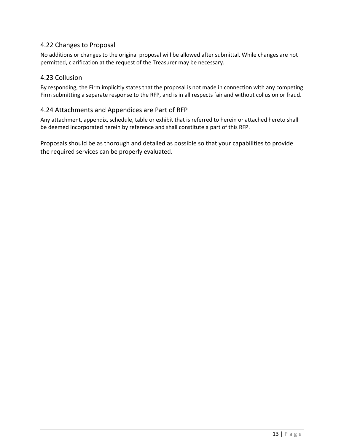#### <span id="page-12-0"></span>4.22 Changes to Proposal

No additions or changes to the original proposal will be allowed after submittal. While changes are not permitted, clarification at the request of the Treasurer may be necessary.

#### <span id="page-12-1"></span>4.23 Collusion

By responding, the Firm implicitly states that the proposal is not made in connection with any competing Firm submitting a separate response to the RFP, and is in all respects fair and without collusion or fraud.

#### <span id="page-12-2"></span>4.24 Attachments and Appendices are Part of RFP

Any attachment, appendix, schedule, table or exhibit that is referred to herein or attached hereto shall be deemed incorporated herein by reference and shall constitute a part of this RFP.

Proposals should be as thorough and detailed as possible so that your capabilities to provide the required services can be properly evaluated.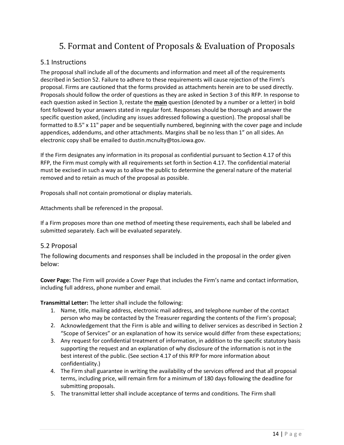# 5. Format and Content of Proposals & Evaluation of Proposals

#### <span id="page-13-1"></span><span id="page-13-0"></span>5.1 Instructions

The proposal shall include all of the documents and information and meet all of the requirements described in Section 52. Failure to adhere to these requirements will cause rejection of the Firm's proposal. Firms are cautioned that the forms provided as attachments herein are to be used directly. Proposals should follow the order of questions as they are asked in Section 3 of this RFP. In response to each question asked in Section 3, restate the **main** question (denoted by a number or a letter) in bold font followed by your answers stated in regular font. Responses should be thorough and answer the specific question asked, (including any issues addressed following a question). The proposal shall be formatted to 8.5" x 11" paper and be sequentially numbered, beginning with the cover page and include appendices, addendums, and other attachments. Margins shall be no less than 1" on all sides. An electronic copy shall be emailed to dustin.mcnulty@tos.iowa.gov.

If the Firm designates any information in its proposal as confidential pursuant to Section 4.17 of this RFP, the Firm must comply with all requirements set forth in Section 4.17. The confidential material must be excised in such a way as to allow the public to determine the general nature of the material removed and to retain as much of the proposal as possible.

Proposals shall not contain promotional or display materials.

Attachments shall be referenced in the proposal.

If a Firm proposes more than one method of meeting these requirements, each shall be labeled and submitted separately. Each will be evaluated separately.

#### <span id="page-13-2"></span>5.2 Proposal

The following documents and responses shall be included in the proposal in the order given below:

**Cover Page:** The Firm will provide a Cover Page that includes the Firm's name and contact information, including full address, phone number and email.

**Transmittal Letter:** The letter shall include the following:

- 1. Name, title, mailing address, electronic mail address, and telephone number of the contact person who may be contacted by the Treasurer regarding the contents of the Firm's proposal;
- 2. Acknowledgement that the Firm is able and willing to deliver services as described in Section 2 "Scope of Services" or an explanation of how its service would differ from these expectations;
- 3. Any request for confidential treatment of information, in addition to the specific statutory basis supporting the request and an explanation of why disclosure of the information is not in the best interest of the public. (See section 4.17 of this RFP for more information about confidentiality.)
- 4. The Firm shall guarantee in writing the availability of the services offered and that all proposal terms, including price, will remain firm for a minimum of 180 days following the deadline for submitting proposals.
- 5. The transmittal letter shall include acceptance of terms and conditions. The Firm shall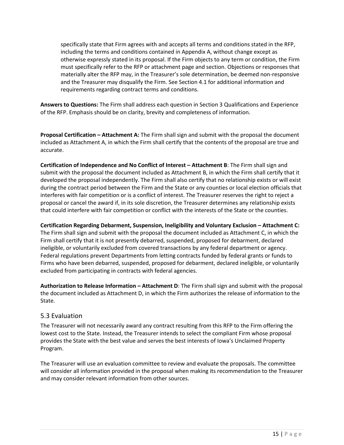specifically state that Firm agrees with and accepts all terms and conditions stated in the RFP, including the terms and conditions contained in Appendix A, without change except as otherwise expressly stated in its proposal. If the Firm objects to any term or condition, the Firm must specifically refer to the RFP or attachment page and section. Objections or responses that materially alter the RFP may, in the Treasurer's sole determination, be deemed non-responsive and the Treasurer may disqualify the Firm. See Section 4.1 for additional information and requirements regarding contract terms and conditions.

**Answers to Questions:** The Firm shall address each question in Section 3 Qualifications and Experience of the RFP. Emphasis should be on clarity, brevity and completeness of information.

**Proposal Certification – Attachment A:** The Firm shall sign and submit with the proposal the document included as Attachment A, in which the Firm shall certify that the contents of the proposal are true and accurate.

**Certification of Independence and No Conflict of Interest – Attachment B**: The Firm shall sign and submit with the proposal the document included as Attachment B, in which the Firm shall certify that it developed the proposal independently. The Firm shall also certify that no relationship exists or will exist during the contract period between the Firm and the State or any counties or local election officials that interferes with fair competition or is a conflict of interest. The Treasurer reserves the right to reject a proposal or cancel the award if, in its sole discretion, the Treasurer determines any relationship exists that could interfere with fair competition or conflict with the interests of the State or the counties.

**Certification Regarding Debarment, Suspension, Ineligibility and Voluntary Exclusion – Attachment C:**  The Firm shall sign and submit with the proposal the document included as Attachment C, in which the Firm shall certify that it is not presently debarred, suspended, proposed for debarment, declared ineligible, or voluntarily excluded from covered transactions by any federal department or agency. Federal regulations prevent Departments from letting contracts funded by federal grants or funds to Firms who have been debarred, suspended, proposed for debarment, declared ineligible, or voluntarily excluded from participating in contracts with federal agencies.

**Authorization to Release Information – Attachment D**: The Firm shall sign and submit with the proposal the document included as Attachment D, in which the Firm authorizes the release of information to the State.

#### <span id="page-14-0"></span>5.3 Evaluation

The Treasurer will not necessarily award any contract resulting from this RFP to the Firm offering the lowest cost to the State. Instead, the Treasurer intends to select the compliant Firm whose proposal provides the State with the best value and serves the best interests of Iowa's Unclaimed Property Program.

The Treasurer will use an evaluation committee to review and evaluate the proposals. The committee will consider all information provided in the proposal when making its recommendation to the Treasurer and may consider relevant information from other sources.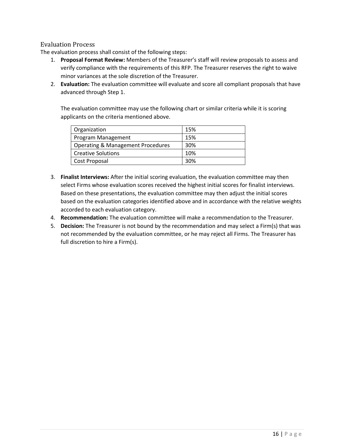#### <span id="page-15-0"></span>Evaluation Process

The evaluation process shall consist of the following steps:

- 1. **Proposal Format Review:** Members of the Treasurer's staff will review proposals to assess and verify compliance with the requirements of this RFP. The Treasurer reserves the right to waive minor variances at the sole discretion of the Treasurer.
- 2. **Evaluation:** The evaluation committee will evaluate and score all compliant proposals that have advanced through Step 1.

The evaluation committee may use the following chart or similar criteria while it is scoring applicants on the criteria mentioned above.

| Organization                                 | 15% |
|----------------------------------------------|-----|
| Program Management                           | 15% |
| <b>Operating &amp; Management Procedures</b> | 30% |
| <b>Creative Solutions</b>                    | 10% |
| Cost Proposal                                | 30% |

- 3. **Finalist Interviews:** After the initial scoring evaluation, the evaluation committee may then select Firms whose evaluation scores received the highest initial scores for finalist interviews. Based on these presentations, the evaluation committee may then adjust the initial scores based on the evaluation categories identified above and in accordance with the relative weights accorded to each evaluation category.
- 4. **Recommendation:** The evaluation committee will make a recommendation to the Treasurer.
- 5. **Decision:** The Treasurer is not bound by the recommendation and may select a Firm(s) that was not recommended by the evaluation committee, or he may reject all Firms. The Treasurer has full discretion to hire a Firm(s).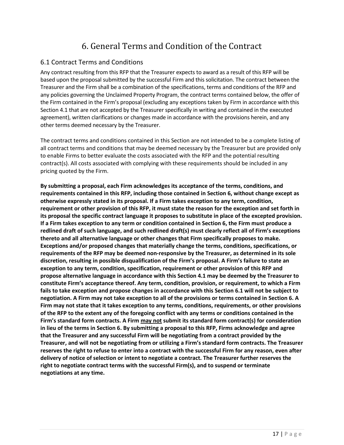# 6. General Terms and Condition of the Contract

#### <span id="page-16-1"></span><span id="page-16-0"></span>6.1 Contract Terms and Conditions

Any contract resulting from this RFP that the Treasurer expects to award as a result of this RFP will be based upon the proposal submitted by the successful Firm and this solicitation. The contract between the Treasurer and the Firm shall be a combination of the specifications, terms and conditions of the RFP and any policies governing the Unclaimed Property Program, the contract terms contained below, the offer of the Firm contained in the Firm's proposal (excluding any exceptions taken by Firm in accordance with this Section 4.1 that are not accepted by the Treasurer specifically in writing and contained in the executed agreement), written clarifications or changes made in accordance with the provisions herein, and any other terms deemed necessary by the Treasurer.

The contract terms and conditions contained in this Section are not intended to be a complete listing of all contract terms and conditions that may be deemed necessary by the Treasurer but are provided only to enable Firms to better evaluate the costs associated with the RFP and the potential resulting contract(s). All costs associated with complying with these requirements should be included in any pricing quoted by the Firm.

**By submitting a proposal, each Firm acknowledges its acceptance of the terms, conditions, and requirements contained in this RFP, including those contained in Section 6, without change except as otherwise expressly stated in its proposal. If a Firm takes exception to any term, condition, requirement or other provision of this RFP, it must state the reason for the exception and set forth in its proposal the specific contract language it proposes to substitute in place of the excepted provision. If a Firm takes exception to any term or condition contained in Section 6, the Firm must produce a redlined draft of such language, and such redlined draft(s) must clearly reflect all of Firm's exceptions thereto and all alternative language or other changes that Firm specifically proposes to make. Exceptions and/or proposed changes that materially change the terms, conditions, specifications, or requirements of the RFP may be deemed non-responsive by the Treasurer, as determined in its sole discretion, resulting in possible disqualification of the Firm's proposal. A Firm's failure to state an exception to any term, condition, specification, requirement or other provision of this RFP and propose alternative language in accordance with this Section 4.1 may be deemed by the Treasurer to constitute Firm's acceptance thereof. Any term, condition, provision, or requirement, to which a Firm fails to take exception and propose changes in accordance with this Section 6.1 will not be subject to negotiation. A Firm may not take exception to all of the provisions or terms contained in Section 6. A Firm may not state that it takes exception to any terms, conditions, requirements, or other provisions of the RFP to the extent any of the foregoing conflict with any terms or conditions contained in the Firm's standard form contracts. A Firm may not submit its standard form contract(s) for consideration in lieu of the terms in Section 6. By submitting a proposal to this RFP, Firms acknowledge and agree that the Treasurer and any successful Firm will be negotiating from a contract provided by the Treasurer, and will not be negotiating from or utilizing a Firm's standard form contracts. The Treasurer reserves the right to refuse to enter into a contract with the successful Firm for any reason, even after delivery of notice of selection or intent to negotiate a contract. The Treasurer further reserves the right to negotiate contract terms with the successful Firm(s), and to suspend or terminate negotiations at any time.**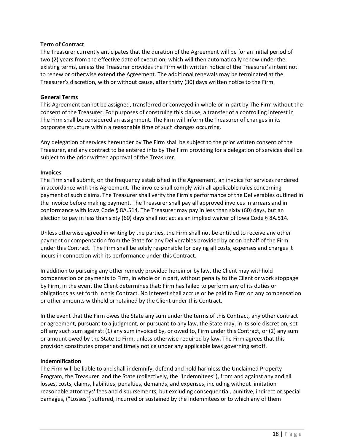#### **Term of Contract**

The Treasurer currently anticipates that the duration of the Agreement will be for an initial period of two (2) years from the effective date of execution, which will then automatically renew under the existing terms, unless the Treasurer provides the Firm with written notice of the Treasurer's intent not to renew or otherwise extend the Agreement. The additional renewals may be terminated at the Treasurer's discretion, with or without cause, after thirty (30) days written notice to the Firm.

#### **General Terms**

This Agreement cannot be assigned, transferred or conveyed in whole or in part by The Firm without the consent of the Treasurer. For purposes of construing this clause, a transfer of a controlling interest in The Firm shall be considered an assignment. The Firm will inform the Treasurer of changes in its corporate structure within a reasonable time of such changes occurring.

Any delegation of services hereunder by The Firm shall be subject to the prior written consent of the Treasurer, and any contract to be entered into by The Firm providing for a delegation of services shall be subject to the prior written approval of the Treasurer.

#### **Invoices**

The Firm shall submit, on the frequency established in the Agreement, an invoice for services rendered in accordance with this Agreement. The invoice shall comply with all applicable rules concerning payment of such claims. The Treasurer shall verify the Firm's performance of the Deliverables outlined in the invoice before making payment. The Treasurer shall pay all approved invoices in arrears and in conformance with Iowa Code § 8A.514. The Treasurer may pay in less than sixty (60) days, but an election to pay in less than sixty (60) days shall not act as an implied waiver of Iowa Code § 8A.514.

Unless otherwise agreed in writing by the parties, the Firm shall not be entitled to receive any other payment or compensation from the State for any Deliverables provided by or on behalf of the Firm under this Contract. The Firm shall be solely responsible for paying all costs, expenses and charges it incurs in connection with its performance under this Contract.

In addition to pursuing any other remedy provided herein or by law, the Client may withhold compensation or payments to Firm, in whole or in part, without penalty to the Client or work stoppage by Firm, in the event the Client determines that: Firm has failed to perform any of its duties or obligations as set forth in this Contract. No interest shall accrue or be paid to Firm on any compensation or other amounts withheld or retained by the Client under this Contract.

In the event that the Firm owes the State any sum under the terms of this Contract, any other contract or agreement, pursuant to a judgment, or pursuant to any law, the State may, in its sole discretion, set off any such sum against: (1) any sum invoiced by, or owed to, Firm under this Contract, or (2) any sum or amount owed by the State to Firm, unless otherwise required by law. The Firm agrees that this provision constitutes proper and timely notice under any applicable laws governing setoff.

#### **Indemnification**

The Firm will be liable to and shall indemnify, defend and hold harmless the Unclaimed Property Program, the Treasurer and the State (collectively, the "Indemnitees"), from and against any and all losses, costs, claims, liabilities, penalties, demands, and expenses, including without limitation reasonable attorneys' fees and disbursements, but excluding consequential, punitive, indirect or special damages, ("Losses") suffered, incurred or sustained by the Indemnitees or to which any of them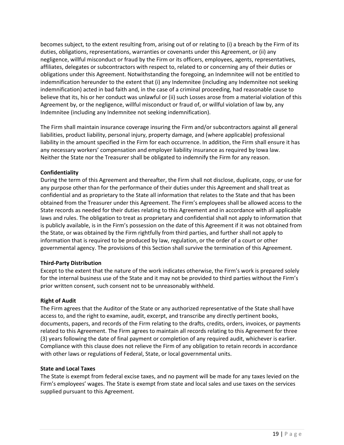becomes subject, to the extent resulting from, arising out of or relating to (i) a breach by the Firm of its duties, obligations, representations, warranties or covenants under this Agreement, or (ii) any negligence, willful misconduct or fraud by the Firm or its officers, employees, agents, representatives, affiliates, delegates or subcontractors with respect to, related to or concerning any of their duties or obligations under this Agreement. Notwithstanding the foregoing, an Indemnitee will not be entitled to indemnification hereunder to the extent that (i) any Indemnitee (including any Indemnitee not seeking indemnification) acted in bad faith and, in the case of a criminal proceeding, had reasonable cause to believe that its, his or her conduct was unlawful or (ii) such Losses arose from a material violation of this Agreement by, or the negligence, willful misconduct or fraud of, or willful violation of law by, any Indemnitee (including any Indemnitee not seeking indemnification).

The Firm shall maintain insurance coverage insuring the Firm and/or subcontractors against all general liabilities, product liability, personal injury, property damage, and (where applicable) professional liability in the amount specified in the Firm for each occurrence. In addition, the Firm shall ensure it has any necessary workers' compensation and employer liability insurance as required by Iowa law. Neither the State nor the Treasurer shall be obligated to indemnify the Firm for any reason.

#### **Confidentiality**

During the term of this Agreement and thereafter, the Firm shall not disclose, duplicate, copy, or use for any purpose other than for the performance of their duties under this Agreement and shall treat as confidential and as proprietary to the State all information that relates to the State and that has been obtained from the Treasurer under this Agreement. The Firm's employees shall be allowed access to the State records as needed for their duties relating to this Agreement and in accordance with all applicable laws and rules. The obligation to treat as proprietary and confidential shall not apply to information that is publicly available, is in the Firm's possession on the date of this Agreement if it was not obtained from the State, or was obtained by the Firm rightfully from third parties, and further shall not apply to information that is required to be produced by law, regulation, or the order of a court or other governmental agency. The provisions of this Section shall survive the termination of this Agreement.

#### **Third-Party Distribution**

Except to the extent that the nature of the work indicates otherwise, the Firm's work is prepared solely for the internal business use of the State and it may not be provided to third parties without the Firm's prior written consent, such consent not to be unreasonably withheld.

#### **Right of Audit**

The Firm agrees that the Auditor of the State or any authorized representative of the State shall have access to, and the right to examine, audit, excerpt, and transcribe any directly pertinent books, documents, papers, and records of the Firm relating to the drafts, credits, orders, invoices, or payments related to this Agreement. The Firm agrees to maintain all records relating to this Agreement for three (3) years following the date of final payment or completion of any required audit, whichever is earlier. Compliance with this clause does not relieve the Firm of any obligation to retain records in accordance with other laws or regulations of Federal, State, or local governmental units.

#### **State and Local Taxes**

The State is exempt from federal excise taxes, and no payment will be made for any taxes levied on the Firm's employees' wages. The State is exempt from state and local sales and use taxes on the services supplied pursuant to this Agreement.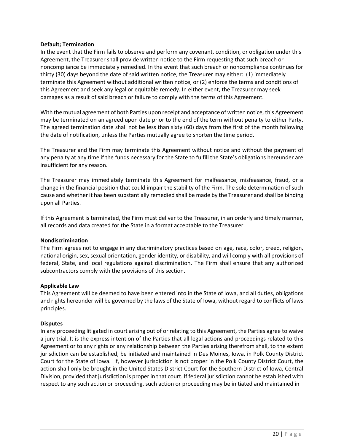#### **Default; Termination**

In the event that the Firm fails to observe and perform any covenant, condition, or obligation under this Agreement, the Treasurer shall provide written notice to the Firm requesting that such breach or noncompliance be immediately remedied. In the event that such breach or noncompliance continues for thirty (30) days beyond the date of said written notice, the Treasurer may either: (1) immediately terminate this Agreement without additional written notice, or (2) enforce the terms and conditions of this Agreement and seek any legal or equitable remedy. In either event, the Treasurer may seek damages as a result of said breach or failure to comply with the terms of this Agreement.

With the mutual agreement of both Parties upon receipt and acceptance of written notice, this Agreement may be terminated on an agreed upon date prior to the end of the term without penalty to either Party. The agreed termination date shall not be less than sixty (60) days from the first of the month following the date of notification, unless the Parties mutually agree to shorten the time period.

The Treasurer and the Firm may terminate this Agreement without notice and without the payment of any penalty at any time if the funds necessary for the State to fulfill the State's obligations hereunder are insufficient for any reason.

The Treasurer may immediately terminate this Agreement for malfeasance, misfeasance, fraud, or a change in the financial position that could impair the stability of the Firm. The sole determination of such cause and whether it has been substantially remedied shall be made by the Treasurer and shall be binding upon all Parties.

If this Agreement is terminated, the Firm must deliver to the Treasurer, in an orderly and timely manner, all records and data created for the State in a format acceptable to the Treasurer.

#### **Nondiscrimination**

The Firm agrees not to engage in any discriminatory practices based on age, race, color, creed, religion, national origin, sex, sexual orientation, gender identity, or disability, and will comply with all provisions of federal, State, and local regulations against discrimination. The Firm shall ensure that any authorized subcontractors comply with the provisions of this section.

#### **Applicable Law**

This Agreement will be deemed to have been entered into in the State of Iowa, and all duties, obligations and rights hereunder will be governed by the laws of the State of Iowa, without regard to conflicts of laws principles.

#### **Disputes**

In any proceeding litigated in court arising out of or relating to this Agreement, the Parties agree to waive a jury trial. It is the express intention of the Parties that all legal actions and proceedings related to this Agreement or to any rights or any relationship between the Parties arising therefrom shall, to the extent jurisdiction can be established, be initiated and maintained in Des Moines, Iowa, in Polk County District Court for the State of Iowa. If, however jurisdiction is not proper in the Polk County District Court, the action shall only be brought in the United States District Court for the Southern District of Iowa, Central Division, provided that jurisdiction is proper in that court. If federal jurisdiction cannot be established with respect to any such action or proceeding, such action or proceeding may be initiated and maintained in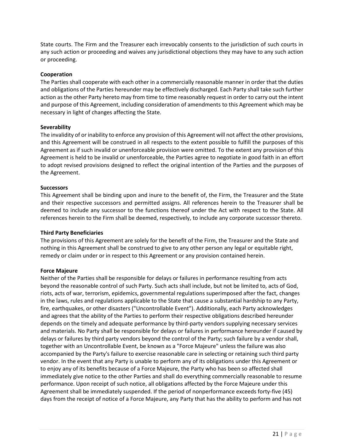State courts. The Firm and the Treasurer each irrevocably consents to the jurisdiction of such courts in any such action or proceeding and waives any jurisdictional objections they may have to any such action or proceeding.

#### **Cooperation**

The Parties shall cooperate with each other in a commercially reasonable manner in order that the duties and obligations of the Parties hereunder may be effectively discharged. Each Party shall take such further action as the other Party hereto may from time to time reasonably request in order to carry out the intent and purpose of this Agreement, including consideration of amendments to this Agreement which may be necessary in light of changes affecting the State.

#### **Severability**

The invalidity of or inability to enforce any provision of this Agreement will not affect the other provisions, and this Agreement will be construed in all respects to the extent possible to fulfill the purposes of this Agreement as if such invalid or unenforceable provision were omitted. To the extent any provision of this Agreement is held to be invalid or unenforceable, the Parties agree to negotiate in good faith in an effort to adopt revised provisions designed to reflect the original intention of the Parties and the purposes of the Agreement.

#### **Successors**

This Agreement shall be binding upon and inure to the benefit of, the Firm, the Treasurer and the State and their respective successors and permitted assigns. All references herein to the Treasurer shall be deemed to include any successor to the functions thereof under the Act with respect to the State. All references herein to the Firm shall be deemed, respectively, to include any corporate successor thereto.

#### **Third Party Beneficiaries**

The provisions of this Agreement are solely for the benefit of the Firm, the Treasurer and the State and nothing in this Agreement shall be construed to give to any other person any legal or equitable right, remedy or claim under or in respect to this Agreement or any provision contained herein.

#### **Force Majeure**

Neither of the Parties shall be responsible for delays or failures in performance resulting from acts beyond the reasonable control of such Party. Such acts shall include, but not be limited to, acts of God, riots, acts of war, terrorism, epidemics, governmental regulations superimposed after the fact, changes in the laws, rules and regulations applicable to the State that cause a substantial hardship to any Party, fire, earthquakes, or other disasters ("Uncontrollable Event"). Additionally, each Party acknowledges and agrees that the ability of the Parties to perform their respective obligations described hereunder depends on the timely and adequate performance by third-party vendors supplying necessary services and materials. No Party shall be responsible for delays or failures in performance hereunder if caused by delays or failures by third party vendors beyond the control of the Party; such failure by a vendor shall, together with an Uncontrollable Event, be known as a "Force Majeure" unless the failure was also accompanied by the Party's failure to exercise reasonable care in selecting or retaining such third party vendor. In the event that any Party is unable to perform any of its obligations under this Agreement or to enjoy any of its benefits because of a Force Majeure, the Party who has been so affected shall immediately give notice to the other Parties and shall do everything commercially reasonable to resume performance. Upon receipt of such notice, all obligations affected by the Force Majeure under this Agreement shall be immediately suspended. If the period of nonperformance exceeds forty-five (45) days from the receipt of notice of a Force Majeure, any Party that has the ability to perform and has not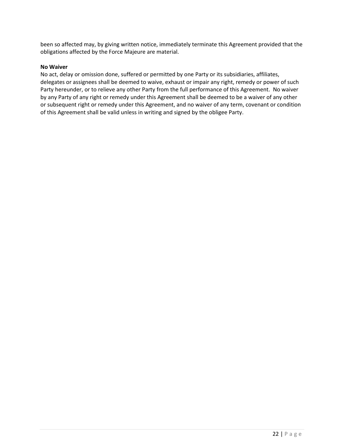been so affected may, by giving written notice, immediately terminate this Agreement provided that the obligations affected by the Force Majeure are material.

#### **No Waiver**

No act, delay or omission done, suffered or permitted by one Party or its subsidiaries, affiliates, delegates or assignees shall be deemed to waive, exhaust or impair any right, remedy or power of such Party hereunder, or to relieve any other Party from the full performance of this Agreement. No waiver by any Party of any right or remedy under this Agreement shall be deemed to be a waiver of any other or subsequent right or remedy under this Agreement, and no waiver of any term, covenant or condition of this Agreement shall be valid unless in writing and signed by the obligee Party.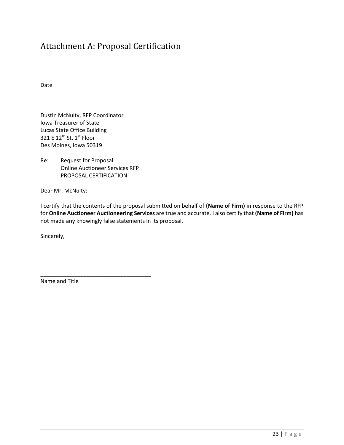## <span id="page-22-0"></span>Attachment A: Proposal Certification

Date

Dustin McNulty, RFP Coordinator Iowa Treasurer of State Lucas State Office Building 321 E 12<sup>th</sup> St, 1<sup>st</sup> Floor Des Moines, Iowa 50319

Re: Request for Proposal Online Auctioneer Services RFP PROPOSAL CERTIFICATION

\_\_\_\_\_\_\_\_\_\_\_\_\_\_\_\_\_\_\_\_\_\_\_\_\_\_\_\_\_\_\_\_\_\_\_\_

Dear Mr. McNulty:

I certify that the contents of the proposal submitted on behalf of **(Name of Firm)** in response to the RFP for **Online Auctioneer Auctioneering Services** are true and accurate. I also certify that **(Name of Firm)** has not made any knowingly false statements in its proposal.

Sincerely,

Name and Title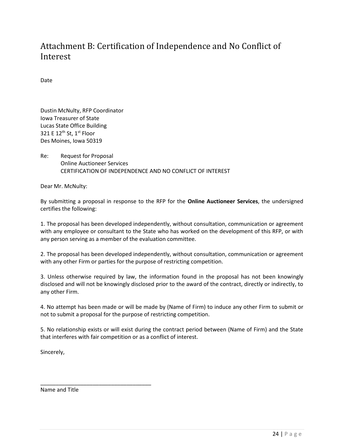## <span id="page-23-0"></span>Attachment B: Certification of Independence and No Conflict of Interest

Date

Dustin McNulty, RFP Coordinator Iowa Treasurer of State Lucas State Office Building 321 E 12<sup>th</sup> St, 1<sup>st</sup> Floor Des Moines, Iowa 50319

Re: Request for Proposal Online Auctioneer Services CERTIFICATION OF INDEPENDENCE AND NO CONFLICT OF INTEREST

Dear Mr. McNulty:

By submitting a proposal in response to the RFP for the **Online Auctioneer Services**, the undersigned certifies the following:

1. The proposal has been developed independently, without consultation, communication or agreement with any employee or consultant to the State who has worked on the development of this RFP, or with any person serving as a member of the evaluation committee.

2. The proposal has been developed independently, without consultation, communication or agreement with any other Firm or parties for the purpose of restricting competition.

3. Unless otherwise required by law, the information found in the proposal has not been knowingly disclosed and will not be knowingly disclosed prior to the award of the contract, directly or indirectly, to any other Firm.

4. No attempt has been made or will be made by (Name of Firm) to induce any other Firm to submit or not to submit a proposal for the purpose of restricting competition.

5. No relationship exists or will exist during the contract period between (Name of Firm) and the State that interferes with fair competition or as a conflict of interest.

Sincerely,

Name and Title

\_\_\_\_\_\_\_\_\_\_\_\_\_\_\_\_\_\_\_\_\_\_\_\_\_\_\_\_\_\_\_\_\_\_\_\_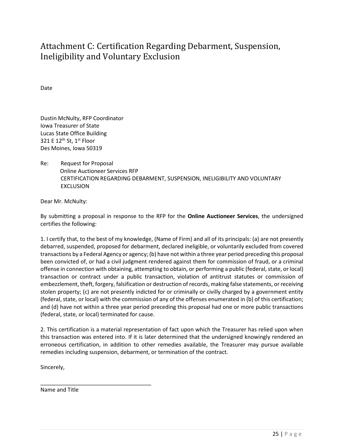# <span id="page-24-0"></span>Attachment C: Certification Regarding Debarment, Suspension, Ineligibility and Voluntary Exclusion

Date

Dustin McNulty, RFP Coordinator Iowa Treasurer of State Lucas State Office Building 321 E  $12^{\text{th}}$  St,  $1^{\text{st}}$  Floor Des Moines, Iowa 50319

Re: Request for Proposal Online Auctioneer Services RFP CERTIFICATION REGARDING DEBARMENT, SUSPENSION, INELIGIBILITY AND VOLUNTARY EXCLUSION

Dear Mr. McNulty:

By submitting a proposal in response to the RFP for the **Online Auctioneer Services**, the undersigned certifies the following:

1. I certify that, to the best of my knowledge, (Name of Firm) and all of its principals: (a) are not presently debarred, suspended, proposed for debarment, declared ineligible, or voluntarily excluded from covered transactions by a Federal Agency or agency; (b) have not within a three year period preceding this proposal been convicted of, or had a civil judgment rendered against them for commission of fraud, or a criminal offense in connection with obtaining, attempting to obtain, or performing a public (federal, state, or local) transaction or contract under a public transaction, violation of antitrust statutes or commission of embezzlement, theft, forgery, falsification or destruction of records, making false statements, or receiving stolen property; (c) are not presently indicted for or criminally or civilly charged by a government entity (federal, state, or local) with the commission of any of the offenses enumerated in (b) of this certification; and (d) have not within a three year period preceding this proposal had one or more public transactions (federal, state, or local) terminated for cause.

2. This certification is a material representation of fact upon which the Treasurer has relied upon when this transaction was entered into. If it is later determined that the undersigned knowingly rendered an erroneous certification, in addition to other remedies available, the Treasurer may pursue available remedies including suspension, debarment, or termination of the contract.

Sincerely,

Name and Title

\_\_\_\_\_\_\_\_\_\_\_\_\_\_\_\_\_\_\_\_\_\_\_\_\_\_\_\_\_\_\_\_\_\_\_\_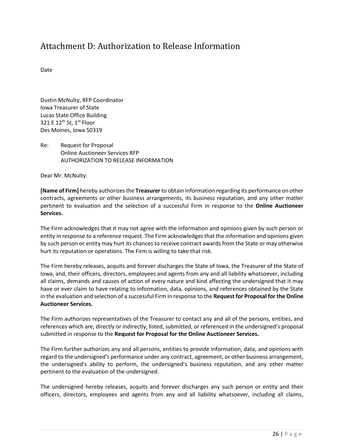### <span id="page-25-0"></span>Attachment D: Authorization to Release Information

Date

Dustin McNulty, RFP Coordinator Iowa Treasurer of State Lucas State Office Building 321 E  $12^{th}$  St,  $1^{st}$  Floor Des Moines, Iowa 50319

Re: Request for Proposal Online Auctioneer Services RFP AUTHORIZATION TO RELEASE INFORMATION

Dear Mr. McNulty:

**[Name of Firm]** hereby authorizes the **Treasurer** to obtain information regarding its performance on other contracts, agreements or other business arrangements, its business reputation, and any other matter pertinent to evaluation and the selection of a successful Firm in response to the **Online Auctioneer Services.**

The Firm acknowledges that it may not agree with the information and opinions given by such person or entity in response to a reference request. The Firm acknowledges that the information and opinions given by such person or entity may hurt its chances to receive contract awards from the State or may otherwise hurt its reputation or operations. The Firm is willing to take that risk.

The Firm hereby releases, acquits and forever discharges the State of Iowa, the Treasurer of the State of Iowa, and, their officers, directors, employees and agents from any and all liability whatsoever, including all claims, demands and causes of action of every nature and kind affecting the undersigned that it may have or ever claim to have relating to information, data, opinions, and references obtained by the State in the evaluation and selection of a successful Firm in response to the **Request for Proposal for the Online Auctioneer Services.**

The Firm authorizes representatives of the Treasurer to contact any and all of the persons, entities, and references which are, directly or indirectly, listed, submitted, or referenced in the undersigned's proposal submitted in response to the **Request for Proposal for the Online Auctioneer Services.**

The Firm further authorizes any and all persons, entities to provide information, data, and opinions with regard to the undersigned's performance under any contract, agreement, or other business arrangement, the undersigned's ability to perform, the undersigned's business reputation, and any other matter pertinent to the evaluation of the undersigned.

The undersigned hereby releases, acquits and forever discharges any such person or entity and their officers, directors, employees and agents from any and all liability whatsoever, including all claims,